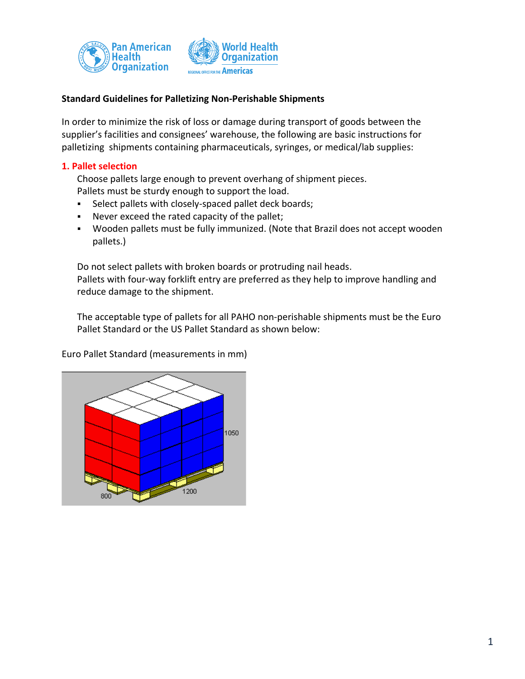



# **Standard Guidelines for Palletizing Non-Perishable Shipments**

In order to minimize the risk of loss or damage during transport of goods between the supplier's facilities and consignees' warehouse, the following are basic instructions for palletizing shipments containing pharmaceuticals, syringes, or medical/lab supplies:

# **1. Pallet selection**

Choose pallets large enough to prevent overhang of shipment pieces. Pallets must be sturdy enough to support the load.

- **Select pallets with closely-spaced pallet deck boards;**
- Never exceed the rated capacity of the pallet;
- Wooden pallets must be fully immunized. (Note that Brazil does not accept wooden pallets.)

Do not select pallets with broken boards or protruding nail heads. Pallets with four-way forklift entry are preferred as they help to improve handling and reduce damage to the shipment.

The acceptable type of pallets for all PAHO non-perishable shipments must be the Euro Pallet Standard or the US Pallet Standard as shown below:

1050 1200

Euro Pallet Standard (measurements in mm)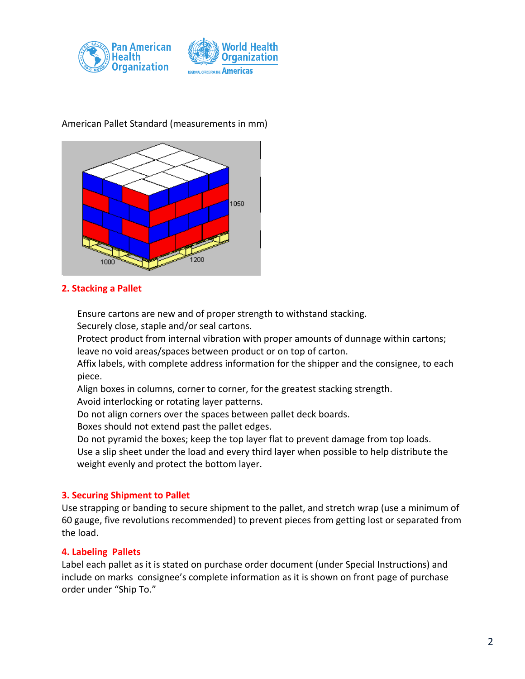

# 1050 200

# American Pallet Standard (measurements in mm)

# **2. Stacking a Pallet**

Ensure cartons are new and of proper strength to withstand stacking.

Securely close, staple and/or seal cartons.

Protect product from internal vibration with proper amounts of dunnage within cartons; leave no void areas/spaces between product or on top of carton.

Affix labels, with complete address information for the shipper and the consignee, to each piece.

Align boxes in columns, corner to corner, for the greatest stacking strength.

Avoid interlocking or rotating layer patterns.

Do not align corners over the spaces between pallet deck boards.

Boxes should not extend past the pallet edges.

Do not pyramid the boxes; keep the top layer flat to prevent damage from top loads.

Use a slip sheet under the load and every third layer when possible to help distribute the weight evenly and protect the bottom layer.

# **3. Securing Shipment to Pallet**

Use strapping or banding to secure shipment to the pallet, and stretch wrap (use a minimum of 60 gauge, five revolutions recommended) to prevent pieces from getting lost or separated from the load.

# **4. Labeling Pallets**

Label each pallet as it is stated on purchase order document (under Special Instructions) and include on marks consignee's complete information as it is shown on front page of purchase order under "Ship To."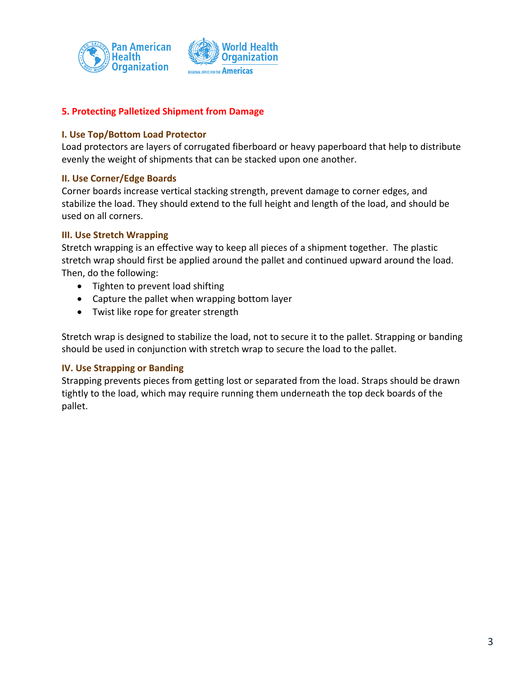

# **5. Protecting Palletized Shipment from Damage**

### **I. Use Top/Bottom Load Protector**

Load protectors are layers of corrugated fiberboard or heavy paperboard that help to distribute evenly the weight of shipments that can be stacked upon one another.

### **II. Use Corner/Edge Boards**

Corner boards increase vertical stacking strength, prevent damage to corner edges, and stabilize the load. They should extend to the full height and length of the load, and should be used on all corners.

### **III. Use Stretch Wrapping**

Stretch wrapping is an effective way to keep all pieces of a shipment together. The plastic stretch wrap should first be applied around the pallet and continued upward around the load. Then, do the following:

- Tighten to prevent load shifting
- Capture the pallet when wrapping bottom layer
- Twist like rope for greater strength

Stretch wrap is designed to stabilize the load, not to secure it to the pallet. Strapping or banding should be used in conjunction with stretch wrap to secure the load to the pallet.

### **IV. Use Strapping or Banding**

Strapping prevents pieces from getting lost or separated from the load. Straps should be drawn tightly to the load, which may require running them underneath the top deck boards of the pallet.